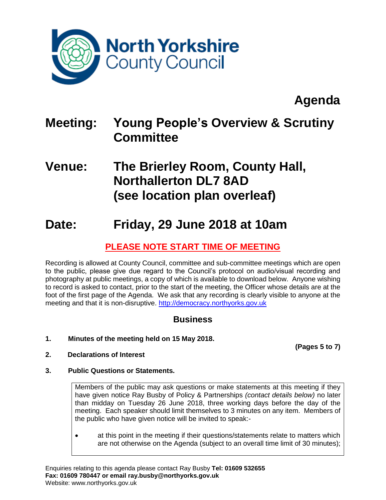

# **Agenda**

# **Meeting: Young People's Overview & Scrutiny Committee**

# **Venue: The Brierley Room, County Hall, Northallerton DL7 8AD (see location plan overleaf)**

## **Date: Friday, 29 June 2018 at 10am**

## **PLEASE NOTE START TIME OF MEETING**

Recording is allowed at County Council, committee and sub-committee meetings which are open to the public, please give due regard to the Council's protocol on audio/visual recording and photography at public meetings, a copy of which is available to download below. Anyone wishing to record is asked to contact, prior to the start of the meeting, the Officer whose details are at the foot of the first page of the Agenda. We ask that any recording is clearly visible to anyone at the meeting and that it is non-disruptive. [http://democracy.northyorks.gov.uk](http://democracy.northyorks.gov.uk/)

### **Business**

**1. Minutes of the meeting held on 15 May 2018.**

**(Pages 5 to 7)**

- **2. Declarations of Interest**
- **3. Public Questions or Statements.**

Members of the public may ask questions or make statements at this meeting if they have given notice Ray Busby of Policy & Partnerships *(contact details below)* no later than midday on Tuesday 26 June 2018, three working days before the day of the meeting. Each speaker should limit themselves to 3 minutes on any item. Members of the public who have given notice will be invited to speak:-

• at this point in the meeting if their questions/statements relate to matters which are not otherwise on the Agenda (subject to an overall time limit of 30 minutes);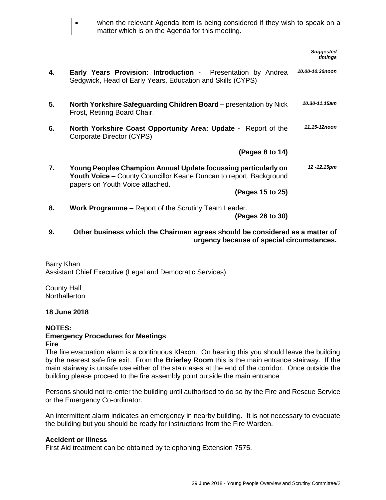|    | when the relevant Agenda item is being considered if they wish to speak on a<br>matter which is on the Agenda for this meeting.                                                |                             |
|----|--------------------------------------------------------------------------------------------------------------------------------------------------------------------------------|-----------------------------|
|    |                                                                                                                                                                                | <b>Suggested</b><br>timings |
| 4. | <b>Early Years Provision: Introduction -</b> Presentation by Andrea<br>Sedgwick, Head of Early Years, Education and Skills (CYPS)                                              | 10.00-10.30noon             |
| 5. | North Yorkshire Safeguarding Children Board - presentation by Nick<br>Frost, Retiring Board Chair.                                                                             | 10.30-11.15am               |
| 6. | North Yorkshire Coast Opportunity Area: Update - Report of the<br>Corporate Director (CYPS)                                                                                    | 11.15-12noon                |
|    | (Pages 8 to 14)                                                                                                                                                                |                             |
| 7. | Young Peoples Champion Annual Update focussing particularly on<br><b>Youth Voice - County Councillor Keane Duncan to report. Background</b><br>papers on Youth Voice attached. | 12 - 12.15pm                |
|    | (Pages 15 to 25)                                                                                                                                                               |                             |
| 8. | Work Programme - Report of the Scrutiny Team Leader.<br>(Pages 26 to 30)                                                                                                       |                             |

#### **9. Other business which the Chairman agrees should be considered as a matter of urgency because of special circumstances.**

Barry Khan Assistant Chief Executive (Legal and Democratic Services)

County Hall **Northallerton** 

#### **18 June 2018**

#### **NOTES: Emergency Procedures for Meetings Fire**

The fire evacuation alarm is a continuous Klaxon. On hearing this you should leave the building by the nearest safe fire exit. From the **Brierley Room** this is the main entrance stairway. If the main stairway is unsafe use either of the staircases at the end of the corridor. Once outside the building please proceed to the fire assembly point outside the main entrance

Persons should not re-enter the building until authorised to do so by the Fire and Rescue Service or the Emergency Co-ordinator.

An intermittent alarm indicates an emergency in nearby building. It is not necessary to evacuate the building but you should be ready for instructions from the Fire Warden.

#### **Accident or Illness**

First Aid treatment can be obtained by telephoning Extension 7575.